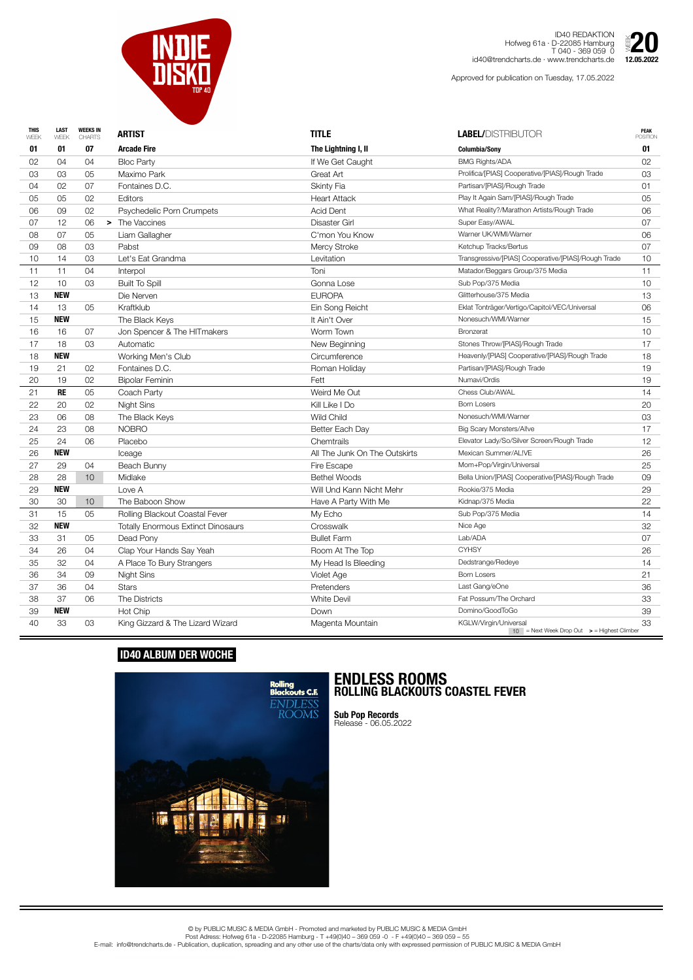| <b>THIS</b><br>WEEK | <b>LAST</b><br>WEEK | <b>WEEKS IN</b><br><b>CHARTS</b> | <b>ARTIST</b>                             | <b>TITLE</b>                  | <b>LABEL/DISTRIBUTOR</b>                                                           | <b>PEAK</b><br><b>POSITION</b> |
|---------------------|---------------------|----------------------------------|-------------------------------------------|-------------------------------|------------------------------------------------------------------------------------|--------------------------------|
| 01                  | 01                  | 07                               | <b>Arcade Fire</b>                        | The Lightning I, II           | <b>Columbia/Sony</b>                                                               | 01                             |
| 02                  | 04                  | 04                               | <b>Bloc Party</b>                         | If We Get Caught              | <b>BMG Rights/ADA</b>                                                              | 02                             |
| 03                  | 03                  | 05                               | Maximo Park                               | Great Art                     | Prolifica/[PIAS] Cooperative/[PIAS]/Rough Trade                                    | 03                             |
| 04                  | 02                  | 07                               | Fontaines D.C.                            | <b>Skinty Fia</b>             | Partisan/[PIAS]/Rough Trade                                                        | 01                             |
| 05                  | 05                  | 02                               | Editors                                   | <b>Heart Attack</b>           | Play It Again Sam/[PIAS]/Rough Trade                                               | 05                             |
| 06                  | 09                  | 02                               | Psychedelic Porn Crumpets                 | <b>Acid Dent</b>              | What Reality?/Marathon Artists/Rough Trade                                         | 06                             |
| 07                  | 12                  | 06                               | > The Vaccines                            | <b>Disaster Girl</b>          | Super Easy/AWAL                                                                    | 07                             |
| 08                  | 07                  | 05                               | Liam Gallagher                            | C'mon You Know                | Warner UK/WMI/Warner                                                               | 06                             |
| 09                  | 08                  | 03                               | Pabst                                     | <b>Mercy Stroke</b>           | Ketchup Tracks/Bertus                                                              | 07                             |
| 10                  | 14                  | 03                               | Let's Eat Grandma                         | Levitation                    | Transgressive/[PIAS] Cooperative/[PIAS]/Rough Trade                                | 10                             |
| 11                  | 11                  | 04                               | Interpol                                  | Toni                          | Matador/Beggars Group/375 Media                                                    | 11                             |
| 12                  | 10                  | 03                               | <b>Built To Spill</b>                     | Gonna Lose                    | Sub Pop/375 Media                                                                  | 10                             |
| 13                  | <b>NEW</b>          |                                  | Die Nerven                                | <b>EUROPA</b>                 | Glitterhouse/375 Media                                                             | 13                             |
| 14                  | 13                  | 05                               | Kraftklub                                 | Ein Song Reicht               | Eklat Tonträger/Vertigo/Capitol/VEC/Universal                                      | 06                             |
| 15                  | <b>NEW</b>          |                                  | The Black Keys                            | It Ain't Over                 | Nonesuch/WMI/Warner                                                                | 15                             |
| 16                  | 16                  | 07                               | Jon Spencer & The HITmakers               | Worm Town                     | <b>Bronzerat</b>                                                                   | 10                             |
| 17                  | 18                  | 03                               | Automatic                                 | New Beginning                 | Stones Throw/[PIAS]/Rough Trade                                                    | 17                             |
| 18                  | <b>NEW</b>          |                                  | Working Men's Club                        | Circumference                 | Heavenly/[PIAS] Cooperative/[PIAS]/Rough Trade                                     | 18                             |
| 19                  | 21                  | 02                               | Fontaines D.C.                            | Roman Holiday                 | Partisan/[PIAS]/Rough Trade                                                        | 19                             |
| 20                  | 19                  | 02                               | <b>Bipolar Feminin</b>                    | Fett                          | Numavi/Ordis                                                                       | 19                             |
| 21                  | <b>RE</b>           | 05                               | Coach Party                               | Weird Me Out                  | Chess Club/AWAL                                                                    | 14                             |
| 22                  | 20                  | 02                               | <b>Night Sins</b>                         | Kill Like I Do                | <b>Born Losers</b>                                                                 | 20                             |
| 23                  | 06                  | 08                               | The Black Keys                            | <b>Wild Child</b>             | Nonesuch/WMI/Warner                                                                | 03                             |
| 24                  | 23                  | 08                               | <b>NOBRO</b>                              | Better Each Day               | <b>Big Scary Monsters/Allve</b>                                                    | 17                             |
| 25                  | 24                  | 06                               | Placebo                                   | Chemtrails                    | Elevator Lady/So/Silver Screen/Rough Trade                                         | 12                             |
| 26                  | <b>NEW</b>          |                                  | Iceage                                    | All The Junk On The Outskirts | Mexican Summer/AL!VE                                                               | 26                             |
| 27                  | 29                  | 04                               | Beach Bunny                               | Fire Escape                   | Mom+Pop/Virgin/Universal                                                           | 25                             |
| 28                  | 28                  | 10 <sup>°</sup>                  | Midlake                                   | <b>Bethel Woods</b>           | Bella Union/[PIAS] Cooperative/[PIAS]/Rough Trade                                  | 09                             |
| 29                  | <b>NEW</b>          |                                  | Love A                                    | Will Und Kann Nicht Mehr      | Rookie/375 Media                                                                   | 29                             |
| 30                  | 30                  | 10 <sup>°</sup>                  | The Baboon Show                           | Have A Party With Me          | Kidnap/375 Media                                                                   | 22                             |
| 31                  | 15                  | 05                               | Rolling Blackout Coastal Fever            | My Echo                       | Sub Pop/375 Media                                                                  | 14                             |
| 32                  | <b>NEW</b>          |                                  | <b>Totally Enormous Extinct Dinosaurs</b> | Crosswalk                     | Nice Age                                                                           | 32                             |
| 33                  | 31                  | 05                               | Dead Pony                                 | <b>Bullet Farm</b>            | Lab/ADA                                                                            | 07                             |
| 34                  | 26                  | 04                               | Clap Your Hands Say Yeah                  | Room At The Top               | <b>CYHSY</b>                                                                       | 26                             |
| 35                  | 32                  | 04                               | A Place To Bury Strangers                 | My Head Is Bleeding           | Dedstrange/Redeye                                                                  | 14                             |
| 36                  | 34                  | 09                               | <b>Night Sins</b>                         | Violet Age                    | <b>Born Losers</b>                                                                 | 21                             |
| 37                  | 36                  | 04                               | <b>Stars</b>                              | Pretenders                    | Last Gang/eOne                                                                     | 36                             |
| 38                  | 37                  | 06                               | The Districts                             | <b>White Devil</b>            | Fat Possum/The Orchard                                                             | 33                             |
| 39                  | <b>NEW</b>          |                                  | Hot Chip                                  | Down                          | Domino/GoodToGo                                                                    | 39                             |
| 40                  | 33                  | 03                               | King Gizzard & The Lizard Wizard          | Magenta Mountain              | KGLW/Virgin/Universal<br>$10$ = Next Week Drop Out $\rightarrow$ = Highest Climber | 33                             |



ID40 REDAKTION Hofweg 61a · D-22085 Hamburg T 040 - 369 059 0 id40@trendcharts.de · www.trendcharts.de

Approved for publication on Tuesday, 17.05.2022



## **ID40 ALBUM DER WOCHE**



## **ENDLESS ROOMS ROLLING BLACKOUTS COASTEL FEVER**

**Sub Pop Records** Release - 06.05.2022